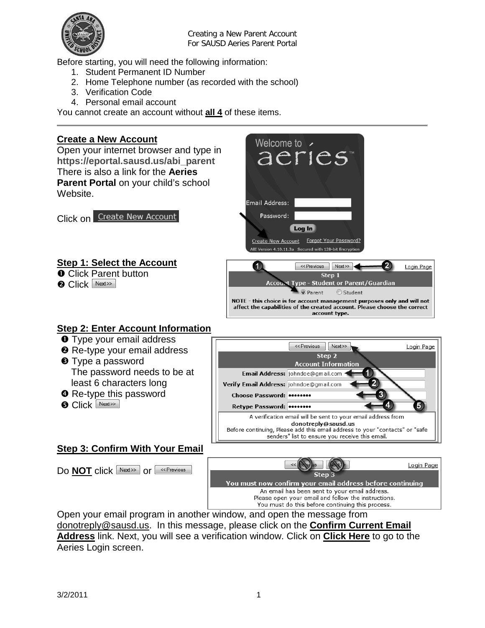

Creating a New Parent Account For SAUSD Aeries Parent Portal

Before starting, you will need the following information:

- 1. Student Permanent ID Number
- 2. Home Telephone number (as recorded with the school)
- 3. Verification Code
- 4. Personal email account

You cannot create an account without **all 4** of these items.

# **Create a New Account**

Open your internet browser and type in **https://eportal.sausd.us/abi\_parent** There is also a link for the **Aeries Parent Portal** on your child's school Website.

**Click on** Create New Account

# **Step 1: Select the Account**

**O** Click Parent button

**O** Click Next>>



#### **Step 2: Enter Account Information**

- **O** Type your email address
- **<sup>2</sup>** Re-type your email address
- **O** Type a password The password needs to be at least 6 characters long
- **O** Re-type this password
- **O** Click Next>>

#### Verify Email Address: johndoe@gmail.com Choose Password: ....... Retype Password: ....... A verification email will be sent to your email address from donotreply@sausd.us Before continuing, Please add this email address to your "contacts" or "safe senders" list to ensure you receive this email.

<< Previous

Email Address: johndoe@gmail.com +

 $Next$ 

Step<sub>2</sub> **Account Information**  Login Page

5

# **Step 3: Confirm With Your Email**

Do **NOT** click Next>> or <u>see Previous</u>



Open your email program in another window, and open the message from [donotreply@sausd.us.](mailto:donotreply@sausd.us) In this message, please click on the **Confirm Current Email Address** link. Next, you will see a verification window. Click on **Click Here** to go to the Aeries Login screen.